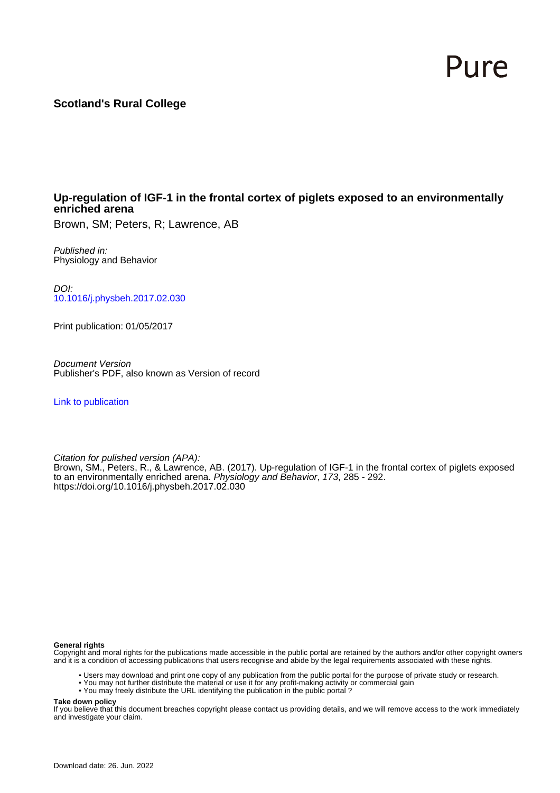# Pure

## **Scotland's Rural College**

## **Up-regulation of IGF-1 in the frontal cortex of piglets exposed to an environmentally enriched arena**

Brown, SM; Peters, R; Lawrence, AB

Published in: Physiology and Behavior

DOI: [10.1016/j.physbeh.2017.02.030](https://doi.org/10.1016/j.physbeh.2017.02.030)

Print publication: 01/05/2017

Document Version Publisher's PDF, also known as Version of record

[Link to publication](https://pure.sruc.ac.uk/en/publications/5d1c0812-5d27-4632-a8d0-4b859cb774f0)

Citation for pulished version (APA):

Brown, SM., Peters, R., & Lawrence, AB. (2017). Up-regulation of IGF-1 in the frontal cortex of piglets exposed to an environmentally enriched arena. Physiology and Behavior, 173, 285 - 292. <https://doi.org/10.1016/j.physbeh.2017.02.030>

#### **General rights**

Copyright and moral rights for the publications made accessible in the public portal are retained by the authors and/or other copyright owners and it is a condition of accessing publications that users recognise and abide by the legal requirements associated with these rights.

- Users may download and print one copy of any publication from the public portal for the purpose of private study or research.
- You may not further distribute the material or use it for any profit-making activity or commercial gain
- You may freely distribute the URL identifying the publication in the public portal ?

#### **Take down policy**

If you believe that this document breaches copyright please contact us providing details, and we will remove access to the work immediately and investigate your claim.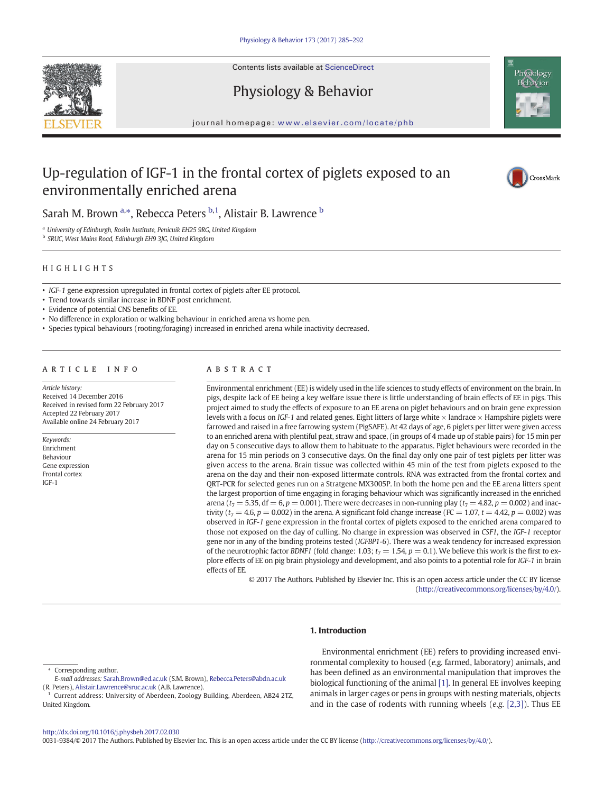

Contents lists available at ScienceDirect

## Physiology & Behavior



journal homepage: <www.elsevier.com/locate/phb>

## Up-regulation of IGF-1 in the frontal cortex of piglets exposed to an environmentally enriched arena



Sarah M. Brown <sup>a,\*</sup>, Rebecca Peters <sup>b,1</sup>, Alistair B. Lawrence <sup>b</sup>

<sup>a</sup> University of Edinburgh, Roslin Institute, Penicuik EH25 9RG, United Kingdom

<sup>b</sup> SRUC, West Mains Road, Edinburgh EH9 3JG, United Kingdom

#### HIGHLIGHTS

• IGF-1 gene expression upregulated in frontal cortex of piglets after EE protocol.

• Trend towards similar increase in BDNF post enrichment.

• Evidence of potential CNS benefits of EE.

- No difference in exploration or walking behaviour in enriched arena vs home pen.
- Species typical behaviours (rooting/foraging) increased in enriched arena while inactivity decreased.

#### article info abstract

Article history: Received 14 December 2016 Received in revised form 22 February 2017 Accepted 22 February 2017 Available online 24 February 2017

Keywords: Enrichment Behaviour Gene expression Frontal cortex IGF-1

Environmental enrichment (EE) is widely used in the life sciences to study effects of environment on the brain. In pigs, despite lack of EE being a key welfare issue there is little understanding of brain effects of EE in pigs. This project aimed to study the effects of exposure to an EE arena on piglet behaviours and on brain gene expression levels with a focus on IGF-1 and related genes. Eight litters of large white  $\times$  landrace  $\times$  Hampshire piglets were farrowed and raised in a free farrowing system (PigSAFE). At 42 days of age, 6 piglets per litter were given access to an enriched arena with plentiful peat, straw and space, (in groups of 4 made up of stable pairs) for 15 min per day on 5 consecutive days to allow them to habituate to the apparatus. Piglet behaviours were recorded in the arena for 15 min periods on 3 consecutive days. On the final day only one pair of test piglets per litter was given access to the arena. Brain tissue was collected within 45 min of the test from piglets exposed to the arena on the day and their non-exposed littermate controls. RNA was extracted from the frontal cortex and QRT-PCR for selected genes run on a Stratgene MX3005P. In both the home pen and the EE arena litters spent the largest proportion of time engaging in foraging behaviour which was significantly increased in the enriched arena ( $t_7 = 5.35$ , df = 6, p = 0.001). There were decreases in non-running play ( $t_7 = 4.82$ , p = 0.002) and inactivity ( $t_7 = 4.6$ ,  $p = 0.002$ ) in the arena. A significant fold change increase (FC = 1.07,  $t = 4.42$ ,  $p = 0.002$ ) was observed in IGF-1 gene expression in the frontal cortex of piglets exposed to the enriched arena compared to those not exposed on the day of culling. No change in expression was observed in CSF1, the IGF-1 receptor gene nor in any of the binding proteins tested (IGFBP1-6). There was a weak tendency for increased expression of the neurotrophic factor BDNF1 (fold change: 1.03;  $t_7 = 1.54$ ,  $p = 0.1$ ). We believe this work is the first to explore effects of EE on pig brain physiology and development, and also points to a potential role for IGF-1 in brain effects of EE.

> © 2017 The Authors. Published by Elsevier Inc. This is an open access article under the CC BY license [\(http://creativecommons.org/licenses/by/4.0/\)](http://creativecommons.org/licenses/by/4.0/).

### 1. Introduction

#### Corresponding author.

Environmental enrichment (EE) refers to providing increased environmental complexity to housed (e.g. farmed, laboratory) animals, and has been defined as an environmental manipulation that improves the biological functioning of the animal [\[1\].](#page-7-0) In general EE involves keeping animals in larger cages or pens in groups with nesting materials, objects and in the case of rodents with running wheels  $(e.g. [2,3])$  $(e.g. [2,3])$  $(e.g. [2,3])$ . Thus EE

<http://dx.doi.org/10.1016/j.physbeh.2017.02.030>

0031-9384/© 2017 The Authors. Published by Elsevier Inc. This is an open access article under the CC BY license [\(http://creativecommons.org/licenses/by/4.0/\)](http://creativecommons.org/licenses/by/4.0/).

E-mail addresses: Sarah.Brown@ed.ac.uk (S.M. Brown), Rebecca.Peters@abdn.ac.uk (R. Peters), [Alistair.Lawrence@sruc.ac.uk](mailto:Alistair.Lawrence@sruc.ac.uk) (A.B. Lawrence).

<sup>&</sup>lt;sup>1</sup> Current address: University of Aberdeen, Zoology Building, Aberdeen, AB24 2TZ, United Kingdom.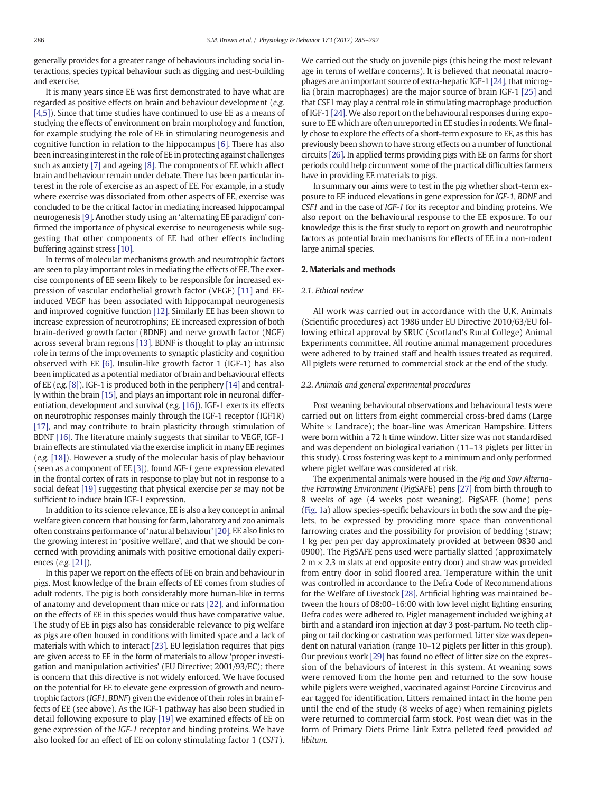generally provides for a greater range of behaviours including social interactions, species typical behaviour such as digging and nest-building and exercise.

It is many years since EE was first demonstrated to have what are regarded as positive effects on brain and behaviour development (e.g. [\[4,5\]](#page-7-0)). Since that time studies have continued to use EE as a means of studying the effects of environment on brain morphology and function, for example studying the role of EE in stimulating neurogenesis and cognitive function in relation to the hippocampus [\[6\]](#page-7-0). There has also been increasing interest in the role of EE in protecting against challenges such as anxiety [\[7\]](#page-7-0) and ageing [\[8\].](#page-7-0) The components of EE which affect brain and behaviour remain under debate. There has been particular interest in the role of exercise as an aspect of EE. For example, in a study where exercise was dissociated from other aspects of EE, exercise was concluded to be the critical factor in mediating increased hippocampal neurogenesis [\[9\]](#page-7-0). Another study using an 'alternating EE paradigm' confirmed the importance of physical exercise to neurogenesis while suggesting that other components of EE had other effects including buffering against stress [\[10\]](#page-7-0).

In terms of molecular mechanisms growth and neurotrophic factors are seen to play important roles in mediating the effects of EE. The exercise components of EE seem likely to be responsible for increased expression of vascular endothelial growth factor (VEGF) [\[11\]](#page-7-0) and EEinduced VEGF has been associated with hippocampal neurogenesis and improved cognitive function [\[12\]](#page-7-0). Similarly EE has been shown to increase expression of neurotrophins; EE increased expression of both brain-derived growth factor (BDNF) and nerve growth factor (NGF) across several brain regions [\[13\]](#page-7-0). BDNF is thought to play an intrinsic role in terms of the improvements to synaptic plasticity and cognition observed with EE [\[6\].](#page-7-0) Insulin-like growth factor 1 (IGF-1) has also been implicated as a potential mediator of brain and behavioural effects of EE (e.g. [\[8\]\)](#page-7-0). IGF-1 is produced both in the periphery [\[14\]](#page-7-0) and centrally within the brain [\[15\]](#page-7-0), and plays an important role in neuronal differentiation, development and survival (e.g. [\[16\]](#page-7-0)). IGF-1 exerts its effects on neurotrophic responses mainly through the IGF-1 receptor (IGF1R) [\[17\],](#page-7-0) and may contribute to brain plasticity through stimulation of BDNF [\[16\]](#page-7-0). The literature mainly suggests that similar to VEGF, IGF-1 brain effects are stimulated via the exercise implicit in many EE regimes (e.g. [\[18\]\)](#page-7-0). However a study of the molecular basis of play behaviour (seen as a component of EE [\[3\]\)](#page-7-0), found IGF-1 gene expression elevated in the frontal cortex of rats in response to play but not in response to a social defeat [\[19\]](#page-7-0) suggesting that physical exercise per se may not be sufficient to induce brain IGF-1 expression.

In addition to its science relevance, EE is also a key concept in animal welfare given concern that housing for farm, laboratory and zoo animals often constrains performance of 'natural behaviour' [\[20\]](#page-7-0). EE also links to the growing interest in 'positive welfare', and that we should be concerned with providing animals with positive emotional daily experiences (e.g. [\[21\]\)](#page-7-0).

In this paper we report on the effects of EE on brain and behaviour in pigs. Most knowledge of the brain effects of EE comes from studies of adult rodents. The pig is both considerably more human-like in terms of anatomy and development than mice or rats [\[22\],](#page-7-0) and information on the effects of EE in this species would thus have comparative value. The study of EE in pigs also has considerable relevance to pig welfare as pigs are often housed in conditions with limited space and a lack of materials with which to interact [\[23\]](#page-7-0). EU legislation requires that pigs are given access to EE in the form of materials to allow 'proper investigation and manipulation activities' (EU Directive; 2001/93/EC); there is concern that this directive is not widely enforced. We have focused on the potential for EE to elevate gene expression of growth and neurotrophic factors (IGF1, BDNF) given the evidence of their roles in brain effects of EE (see above). As the IGF-1 pathway has also been studied in detail following exposure to play [\[19\]](#page-7-0) we examined effects of EE on gene expression of the IGF-1 receptor and binding proteins. We have also looked for an effect of EE on colony stimulating factor 1 (CSF1). We carried out the study on juvenile pigs (this being the most relevant age in terms of welfare concerns). It is believed that neonatal macrophages are an important source of extra-hepatic IGF-1 [\[24\],](#page-7-0) that microglia (brain macrophages) are the major source of brain IGF-1 [\[25\]](#page-7-0) and that CSF1 may play a central role in stimulating macrophage production of IGF-1 [\[24\].](#page-7-0) We also report on the behavioural responses during exposure to EE which are often unreported in EE studies in rodents. We finally chose to explore the effects of a short-term exposure to EE, as this has previously been shown to have strong effects on a number of functional circuits [\[26\].](#page-7-0) In applied terms providing pigs with EE on farms for short periods could help circumvent some of the practical difficulties farmers have in providing EE materials to pigs.

In summary our aims were to test in the pig whether short-term exposure to EE induced elevations in gene expression for IGF-1, BDNF and CSF1 and in the case of IGF-1 for its receptor and binding proteins. We also report on the behavioural response to the EE exposure. To our knowledge this is the first study to report on growth and neurotrophic factors as potential brain mechanisms for effects of EE in a non-rodent large animal species.

#### 2. Materials and methods

#### 2.1. Ethical review

All work was carried out in accordance with the U.K. Animals (Scientific procedures) act 1986 under EU Directive 2010/63/EU following ethical approval by SRUC (Scotland's Rural College) Animal Experiments committee. All routine animal management procedures were adhered to by trained staff and health issues treated as required. All piglets were returned to commercial stock at the end of the study.

#### 2.2. Animals and general experimental procedures

Post weaning behavioural observations and behavioural tests were carried out on litters from eight commercial cross-bred dams (Large White  $\times$  Landrace); the boar-line was American Hampshire. Litters were born within a 72 h time window. Litter size was not standardised and was dependent on biological variation (11–13 piglets per litter in this study). Cross fostering was kept to a minimum and only performed where piglet welfare was considered at risk.

The experimental animals were housed in the Pig and Sow Alternative Farrowing Environment (PigSAFE) pens [\[27\]](#page-7-0) from birth through to 8 weeks of age (4 weeks post weaning). PigSAFE (home) pens [\(Fig. 1a](#page-3-0)) allow species-specific behaviours in both the sow and the piglets, to be expressed by providing more space than conventional farrowing crates and the possibility for provision of bedding (straw; 1 kg per pen per day approximately provided at between 0830 and 0900). The PigSAFE pens used were partially slatted (approximately 2 m  $\times$  2.3 m slats at end opposite entry door) and straw was provided from entry door in solid floored area. Temperature within the unit was controlled in accordance to the Defra Code of Recommendations for the Welfare of Livestock [\[28\]](#page-7-0). Artificial lighting was maintained between the hours of 08:00–16:00 with low level night lighting ensuring Defra codes were adhered to. Piglet management included weighing at birth and a standard iron injection at day 3 post-partum. No teeth clipping or tail docking or castration was performed. Litter size was dependent on natural variation (range 10–12 piglets per litter in this group). Our previous work [\[29\]](#page-7-0) has found no effect of litter size on the expression of the behaviours of interest in this system. At weaning sows were removed from the home pen and returned to the sow house while piglets were weighed, vaccinated against Porcine Circovirus and ear tagged for identification. Litters remained intact in the home pen until the end of the study (8 weeks of age) when remaining piglets were returned to commercial farm stock. Post wean diet was in the form of Primary Diets Prime Link Extra pelleted feed provided ad libitum.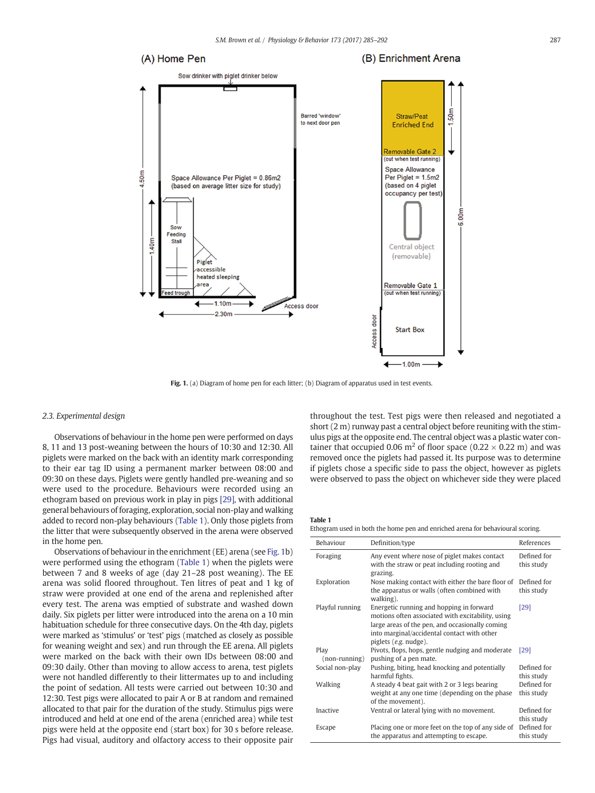<span id="page-3-0"></span>

Fig. 1. (a) Diagram of home pen for each litter; (b) Diagram of apparatus used in test events.

#### 2.3. Experimental design

Observations of behaviour in the home pen were performed on days 8, 11 and 13 post-weaning between the hours of 10:30 and 12:30. All piglets were marked on the back with an identity mark corresponding to their ear tag ID using a permanent marker between 08:00 and 09:30 on these days. Piglets were gently handled pre-weaning and so were used to the procedure. Behaviours were recorded using an ethogram based on previous work in play in pigs [\[29\],](#page-7-0) with additional general behaviours of foraging, exploration, social non-play and walking added to record non-play behaviours (Table 1). Only those piglets from the litter that were subsequently observed in the arena were observed in the home pen.

Observations of behaviour in the enrichment (EE) arena (see Fig. 1b) were performed using the ethogram (Table 1) when the piglets were between 7 and 8 weeks of age (day 21–28 post weaning). The EE arena was solid floored throughout. Ten litres of peat and 1 kg of straw were provided at one end of the arena and replenished after every test. The arena was emptied of substrate and washed down daily. Six piglets per litter were introduced into the arena on a 10 min habituation schedule for three consecutive days. On the 4th day, piglets were marked as 'stimulus' or 'test' pigs (matched as closely as possible for weaning weight and sex) and run through the EE arena. All piglets were marked on the back with their own IDs between 08:00 and 09:30 daily. Other than moving to allow access to arena, test piglets were not handled differently to their littermates up to and including the point of sedation. All tests were carried out between 10:30 and 12:30. Test pigs were allocated to pair A or B at random and remained allocated to that pair for the duration of the study. Stimulus pigs were introduced and held at one end of the arena (enriched area) while test pigs were held at the opposite end (start box) for 30 s before release. Pigs had visual, auditory and olfactory access to their opposite pair

throughout the test. Test pigs were then released and negotiated a short (2 m) runway past a central object before reuniting with the stimulus pigs at the opposite end. The central object was a plastic water container that occupied 0.06 m<sup>2</sup> of floor space (0.22  $\times$  0.22 m) and was removed once the piglets had passed it. Its purpose was to determine if piglets chose a specific side to pass the object, however as piglets were observed to pass the object on whichever side they were placed

Table 1 Ethogram used in both the home pen and enriched arena for behavioural scoring.

| Behaviour              | Definition/type                                                                                                                                                                                                          | References                |
|------------------------|--------------------------------------------------------------------------------------------------------------------------------------------------------------------------------------------------------------------------|---------------------------|
| Foraging               | Any event where nose of piglet makes contact<br>with the straw or peat including rooting and<br>grazing.                                                                                                                 | Defined for<br>this study |
| Exploration            | Nose making contact with either the bare floor of<br>the apparatus or walls (often combined with<br>walking).                                                                                                            | Defined for<br>this study |
| Playful running        | Energetic running and hopping in forward<br>motions often associated with excitability, using<br>large areas of the pen, and occasionally coming<br>into marginal/accidental contact with other<br>piglets (e.g. nudge). | [29]                      |
| Play<br>$non-running)$ | Pivots, flops, hops, gentle nudging and moderate<br>pushing of a pen mate.                                                                                                                                               | [29]                      |
| Social non-play        | Pushing, biting, head knocking and potentially<br>harmful fights.                                                                                                                                                        | Defined for<br>this study |
| Walking                | A steady 4 beat gait with 2 or 3 legs bearing<br>weight at any one time (depending on the phase<br>of the movement).                                                                                                     | Defined for<br>this study |
| Inactive               | Ventral or lateral lying with no movement.                                                                                                                                                                               | Defined for<br>this study |
| Escape                 | Placing one or more feet on the top of any side of<br>the apparatus and attempting to escape.                                                                                                                            | Defined for<br>this study |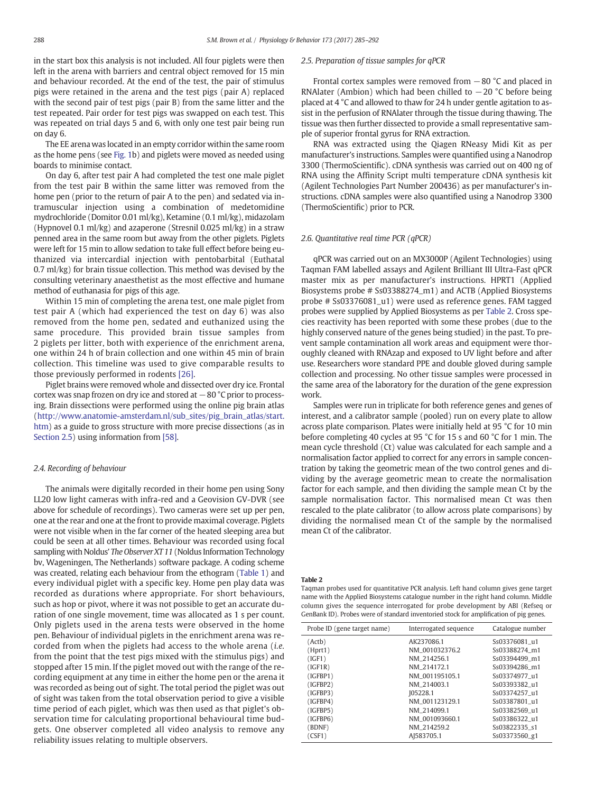in the start box this analysis is not included. All four piglets were then left in the arena with barriers and central object removed for 15 min and behaviour recorded. At the end of the test, the pair of stimulus pigs were retained in the arena and the test pigs (pair A) replaced with the second pair of test pigs (pair B) from the same litter and the test repeated. Pair order for test pigs was swapped on each test. This was repeated on trial days 5 and 6, with only one test pair being run on day 6.

The EE arena was located in an empty corridor within the same room as the home pens (see [Fig. 1](#page-3-0)b) and piglets were moved as needed using boards to minimise contact.

On day 6, after test pair A had completed the test one male piglet from the test pair B within the same litter was removed from the home pen (prior to the return of pair A to the pen) and sedated via intramuscular injection using a combination of medetomidine mydrochloride (Domitor 0.01 ml/kg), Ketamine (0.1 ml/kg), midazolam (Hypnovel 0.1 ml/kg) and azaperone (Stresnil 0.025 ml/kg) in a straw penned area in the same room but away from the other piglets. Piglets were left for 15 min to allow sedation to take full effect before being euthanized via intercardial injection with pentobarbital (Euthatal 0.7 ml/kg) for brain tissue collection. This method was devised by the consulting veterinary anaesthetist as the most effective and humane method of euthanasia for pigs of this age.

Within 15 min of completing the arena test, one male piglet from test pair A (which had experienced the test on day 6) was also removed from the home pen, sedated and euthanized using the same procedure. This provided brain tissue samples from 2 piglets per litter, both with experience of the enrichment arena, one within 24 h of brain collection and one within 45 min of brain collection. This timeline was used to give comparable results to those previously performed in rodents [\[26\].](#page-7-0)

Piglet brains were removed whole and dissected over dry ice. Frontal cortex was snap frozen on dry ice and stored at  $-80$  °C prior to processing. Brain dissections were performed using the online pig brain atlas [\(http://www.anatomie-amsterdam.nl/sub\\_sites/pig\\_brain\\_atlas/start.](http://www.anatomie-amsterdam.nl/sub_sites/pig_brain_atlas/start.htm) [htm](http://www.anatomie-amsterdam.nl/sub_sites/pig_brain_atlas/start.htm)) as a guide to gross structure with more precise dissections (as in Section 2.5) using information from [\[58\]](#page-8-0).

#### 2.4. Recording of behaviour

The animals were digitally recorded in their home pen using Sony LL20 low light cameras with infra-red and a Geovision GV-DVR (see above for schedule of recordings). Two cameras were set up per pen, one at the rear and one at the front to provide maximal coverage. Piglets were not visible when in the far corner of the heated sleeping area but could be seen at all other times. Behaviour was recorded using focal sampling with Noldus' The Observer XT 11 (Noldus Information Technology bv, Wageningen, The Netherlands) software package. A coding scheme was created, relating each behaviour from the ethogram [\(Table 1\)](#page-3-0) and every individual piglet with a specific key. Home pen play data was recorded as durations where appropriate. For short behaviours, such as hop or pivot, where it was not possible to get an accurate duration of one single movement, time was allocated as 1 s per count. Only piglets used in the arena tests were observed in the home pen. Behaviour of individual piglets in the enrichment arena was recorded from when the piglets had access to the whole arena (i.e. from the point that the test pigs mixed with the stimulus pigs) and stopped after 15 min. If the piglet moved out with the range of the recording equipment at any time in either the home pen or the arena it was recorded as being out of sight. The total period the piglet was out of sight was taken from the total observation period to give a visible time period of each piglet, which was then used as that piglet's observation time for calculating proportional behavioural time budgets. One observer completed all video analysis to remove any reliability issues relating to multiple observers.

#### 2.5. Preparation of tissue samples for qPCR

Frontal cortex samples were removed from −80 °C and placed in RNAlater (Ambion) which had been chilled to  $-20$  °C before being placed at 4 °C and allowed to thaw for 24 h under gentle agitation to assist in the perfusion of RNAlater through the tissue during thawing. The tissue was then further dissected to provide a small representative sample of superior frontal gyrus for RNA extraction.

RNA was extracted using the Qiagen RNeasy Midi Kit as per manufacturer's instructions. Samples were quantified using a Nanodrop 3300 (ThermoScientific). cDNA synthesis was carried out on 400 ng of RNA using the Affinity Script multi temperature cDNA synthesis kit (Agilent Technologies Part Number 200436) as per manufacturer's instructions. cDNA samples were also quantified using a Nanodrop 3300 (ThermoScientific) prior to PCR.

#### 2.6. Quantitative real time PCR (qPCR)

qPCR was carried out on an MX3000P (Agilent Technologies) using Taqman FAM labelled assays and Agilent Brilliant III Ultra-Fast qPCR master mix as per manufacturer's instructions. HPRT1 (Applied Biosystems probe # Ss03388274\_m1) and ACTB (Applied Biosystems probe # Ss03376081\_u1) were used as reference genes. FAM tagged probes were supplied by Applied Biosystems as per Table 2. Cross species reactivity has been reported with some these probes (due to the highly conserved nature of the genes being studied) in the past. To prevent sample contamination all work areas and equipment were thoroughly cleaned with RNAzap and exposed to UV light before and after use. Researchers wore standard PPE and double gloved during sample collection and processing. No other tissue samples were processed in the same area of the laboratory for the duration of the gene expression work.

Samples were run in triplicate for both reference genes and genes of interest, and a calibrator sample (pooled) run on every plate to allow across plate comparison. Plates were initially held at 95 °C for 10 min before completing 40 cycles at 95 °C for 15 s and 60 °C for 1 min. The mean cycle threshold (Ct) value was calculated for each sample and a normalisation factor applied to correct for any errors in sample concentration by taking the geometric mean of the two control genes and dividing by the average geometric mean to create the normalisation factor for each sample, and then dividing the sample mean Ct by the sample normalisation factor. This normalised mean Ct was then rescaled to the plate calibrator (to allow across plate comparisons) by dividing the normalised mean Ct of the sample by the normalised mean Ct of the calibrator.

#### Table 2

Taqman probes used for quantitative PCR analysis. Left hand column gives gene target name with the Applied Biosystems catalogue number in the right hand column. Middle column gives the sequence interrogated for probe development by ABI (Refseq or GenBank ID). Probes were of standard inventoried stock for amplification of pig genes.

| Probe ID (gene target name) | Interrogated sequence | Catalogue number |
|-----------------------------|-----------------------|------------------|
| (Actb)                      | AK237086.1            | Ss03376081 u1    |
| (Hprt1)                     | NM_001032376.2        | Ss03388274 m1    |
| (IGF1)                      | NM 214256.1           | Ss03394499 m1    |
| (IGF1R)                     | NM 214172.1           | Ss03394286 m1    |
| (IGFBP1)                    | NM 001195105.1        | Ss03374977 u1    |
| (IGFBP2)                    | NM 214003.1           | Ss03393382 u1    |
| (IGFBP3)                    | IO5228.1              | Ss03374257 u1    |
| (IGFBP4)                    | NM 001123129.1        | Ss03387801 u1    |
| (IGFBP5)                    | NM 214099.1           | Ss03382569 u1    |
| (IGFBP6)                    | NM 001093660.1        | Ss03386322 u1    |
| (BDNF)                      | NM_214259.2           | Ss03822335 s1    |
| (CSF1)                      | AJ583705.1            | Ss03373560_g1    |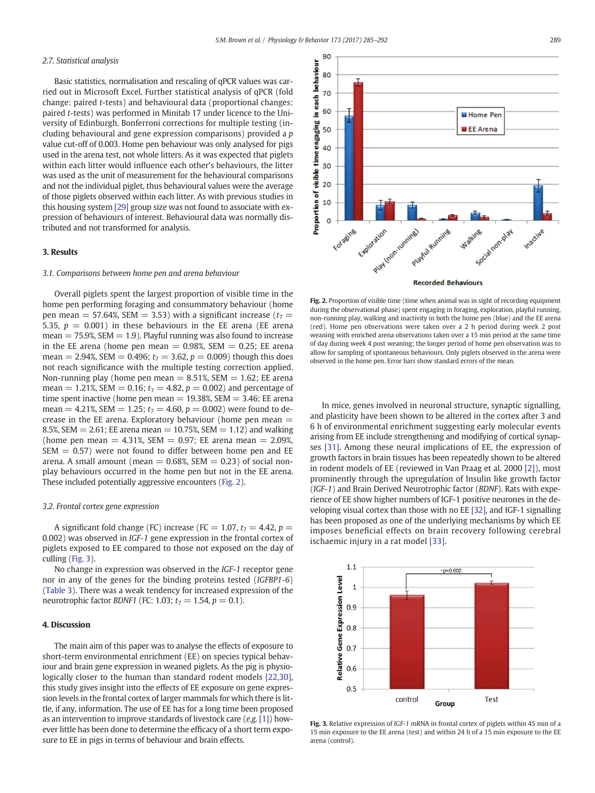#### 2.7. Statistical analysis

Basic statistics, normalisation and rescaling of qPCR values was carried out in Microsoft Excel. Further statistical analysis of qPCR (fold change: paired t-tests) and behavioural data (proportional changes: paired t-tests) was performed in Minitab 17 under licence to the University of Edinburgh. Bonferroni corrections for multiple testing (including behavioural and gene expression comparisons) provided a p value cut-off of 0.003. Home pen behaviour was only analysed for pigs used in the arena test, not whole litters. As it was expected that piglets within each litter would influence each other's behaviours, the litter was used as the unit of measurement for the behavioural comparisons and not the individual piglet, thus behavioural values were the average of those piglets observed within each litter. As with previous studies in this housing system [\[29\]](#page-7-0) group size was not found to associate with expression of behaviours of interest. Behavioural data was normally distributed and not transformed for analysis.

#### 3. Results

#### 3.1. Comparisons between home pen and arena behaviour

Overall piglets spent the largest proportion of visible time in the home pen performing foraging and consummatory behaviour (home pen mean = 57.64%, SEM = 3.53) with a significant increase ( $t_7$  = 5.35,  $p = 0.001$ ) in these behaviours in the EE arena (EE arena  $mean = 75.9\%$ , SEM  $= 1.9$ ). Playful running was also found to increase in the EE arena (home pen mean  $= 0.98\%$ , SEM  $= 0.25$ ; EE arena mean = 2.94%, SEM = 0.496;  $t_7 = 3.62$ ,  $p = 0.009$ ) though this does not reach significance with the multiple testing correction applied. Non-running play (home pen mean  $= 8.51\%$ , SEM  $= 1.62$ ; EE arena mean = 1.21%, SEM = 0.16;  $t_7 = 4.82$ ,  $p = 0.002$ ) and percentage of time spent inactive (home pen mean  $= 19.38\%$ , SEM  $= 3.46$ ; EE arena mean = 4.21%, SEM = 1.25;  $t_7 = 4.60$ ,  $p = 0.002$ ) were found to decrease in the EE arena. Exploratory behaviour (home pen mean  $=$ 8.5%, SEM  $= 2.61$ ; EE arena mean  $= 10.75$ %, SEM  $= 1.12$ ) and walking (home pen mean  $= 4.31\%$ , SEM  $= 0.97$ ; EE arena mean  $= 2.09\%$ ,  $SEM = 0.57$ ) were not found to differ between home pen and EE arena. A small amount (mean  $= 0.68$ %, SEM  $= 0.23$ ) of social nonplay behaviours occurred in the home pen but not in the EE arena. These included potentially aggressive encounters (Fig. 2).

#### 3.2. Frontal cortex gene expression

A significant fold change (FC) increase (FC = 1.07,  $t_7 = 4.42$ ,  $p =$ 0.002) was observed in IGF-1 gene expression in the frontal cortex of piglets exposed to EE compared to those not exposed on the day of culling (Fig. 3).

No change in expression was observed in the IGF-1 receptor gene nor in any of the genes for the binding proteins tested (IGFBP1-6) [\(Table 3](#page-6-0)). There was a weak tendency for increased expression of the neurotrophic factor *BDNF1* (FC: 1.03;  $t_7 = 1.54$ ,  $p = 0.1$ ).

#### 4. Discussion

The main aim of this paper was to analyse the effects of exposure to short-term environmental enrichment (EE) on species typical behaviour and brain gene expression in weaned piglets. As the pig is physiologically closer to the human than standard rodent models [\[22,30\],](#page-7-0) this study gives insight into the effects of EE exposure on gene expression levels in the frontal cortex of larger mammals for which there is little, if any, information. The use of EE has for a long time been proposed as an intervention to improve standards of livestock care (e.g. [\[1\]](#page-7-0)) however little has been done to determine the efficacy of a short term exposure to EE in pigs in terms of behaviour and brain effects.



Fig. 2. Proportion of visible time (time when animal was in sight of recording equipment during the observational phase) spent engaging in foraging, exploration, playful running, non-running play, walking and inactivity in both the home pen (blue) and the EE arena (red). Home pen observations were taken over a 2 h period during week 2 post weaning with enriched arena observations taken over a 15 min period at the same time of day during week 4 post weaning; the longer period of home pen observation was to allow for sampling of spontaneous behaviours. Only piglets observed in the arena were observed in the home pen. Error bars show standard errors of the mean.

In mice, genes involved in neuronal structure, synaptic signalling, and plasticity have been shown to be altered in the cortex after 3 and 6 h of environmental enrichment suggesting early molecular events arising from EE include strengthening and modifying of cortical synapses [\[31\].](#page-7-0) Among these neural implications of EE, the expression of growth factors in brain tissues has been repeatedly shown to be altered in rodent models of EE (reviewed in Van Praag et al. 2000 [\[2\]\)](#page-7-0), most prominently through the upregulation of Insulin like growth factor (IGF-1) and Brain Derived Neurotrophic factor (BDNF). Rats with experience of EE show higher numbers of IGF-1 positive neurones in the developing visual cortex than those with no EE [\[32\]](#page-7-0), and IGF-1 signalling has been proposed as one of the underlying mechanisms by which EE imposes beneficial effects on brain recovery following cerebral ischaemic injury in a rat model [\[33\]](#page-7-0).



Fig. 3. Relative expression of IGF-1 mRNA in frontal cortex of piglets within 45 min of a 15 min exposure to the EE arena (test) and within 24 h of a 15 min exposure to the EE arena (control).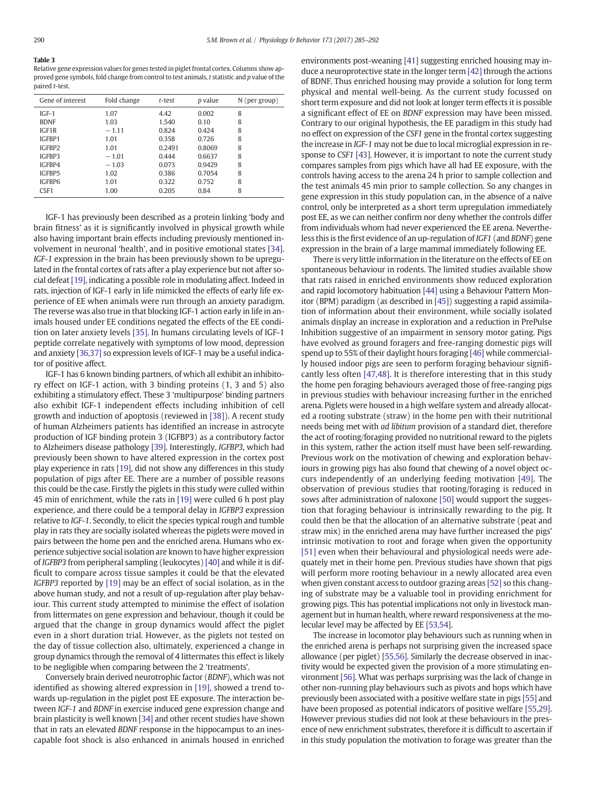<span id="page-6-0"></span>Table 3 Relative gene expression values for genes tested in piglet frontal cortex. Columns show approved gene symbols, fold change from control to test animals, t statistic and p value of the paired t-test.

| Gene of interest | Fold change | t-test | <i>p</i> value | N (per group) |
|------------------|-------------|--------|----------------|---------------|
| $IGF-1$          | 1.07        | 4.42   | 0.002          | 8             |
| <b>BDNF</b>      | 1.03        | 1.540  | 0.10           | 8             |
| IGF1R            | $-1.11$     | 0.824  | 0.424          | 8             |
| IGFBP1           | 1.01        | 0.358  | 0.726          | 8             |
| IGFBP2           | 1.01        | 0.2491 | 0.8069         | 8             |
| IGFBP3           | $-1.01$     | 0.444  | 0.6637         | 8             |
| IGFBP4           | $-1.03$     | 0.073  | 0.9429         | 8             |
| IGFBP5           | 1.02        | 0.386  | 0.7054         | 8             |
| IGFBP6           | 1.01        | 0.322  | 0.752          | 8             |
| CSF <sub>1</sub> | 1.00        | 0.205  | 0.84           | 8             |

IGF-1 has previously been described as a protein linking 'body and brain fitness' as it is significantly involved in physical growth while also having important brain effects including previously mentioned involvement in neuronal 'health', and in positive emotional states [\[34\].](#page-7-0) IGF-1 expression in the brain has been previously shown to be upregulated in the frontal cortex of rats after a play experience but not after social defeat [\[19\]](#page-7-0), indicating a possible role in modulating affect. Indeed in rats, injection of IGF-1 early in life mimicked the effects of early life experience of EE when animals were run through an anxiety paradigm. The reverse was also true in that blocking IGF-1 action early in life in animals housed under EE conditions negated the effects of the EE condition on later anxiety levels [\[35\].](#page-7-0) In humans circulating levels of IGF-1 peptide correlate negatively with symptoms of low mood, depression and anxiety [\[36,37\]](#page-7-0) so expression levels of IGF-1 may be a useful indicator of positive affect.

IGF-1 has 6 known binding partners, of which all exhibit an inhibitory effect on IGF-1 action, with 3 binding proteins (1, 3 and 5) also exhibiting a stimulatory effect. These 3 'multipurpose' binding partners also exhibit IGF-1 independent effects including inhibition of cell growth and induction of apoptosis (reviewed in [\[38\]\)](#page-7-0). A recent study of human Alzheimers patients has identified an increase in astrocyte production of IGF binding protein 3 (IGFBP3) as a contributory factor to Alzheimers disease pathology [\[39\].](#page-7-0) Interestingly, IGFBP3, which had previously been shown to have altered expression in the cortex post play experience in rats [\[19\]](#page-7-0), did not show any differences in this study population of pigs after EE. There are a number of possible reasons this could be the case. Firstly the piglets in this study were culled within 45 min of enrichment, while the rats in [\[19\]](#page-7-0) were culled 6 h post play experience, and there could be a temporal delay in IGFBP3 expression relative to IGF-1. Secondly, to elicit the species typical rough and tumble play in rats they are socially isolated whereas the piglets were moved in pairs between the home pen and the enriched arena. Humans who experience subjective social isolation are known to have higher expression of IGFBP3 from peripheral sampling (leukocytes) [\[40\]](#page-7-0) and while it is difficult to compare across tissue samples it could be that the elevated IGFBP3 reported by [\[19\]](#page-7-0) may be an effect of social isolation, as in the above human study, and not a result of up-regulation after play behaviour. This current study attempted to minimise the effect of isolation from littermates on gene expression and behaviour, though it could be argued that the change in group dynamics would affect the piglet even in a short duration trial. However, as the piglets not tested on the day of tissue collection also, ultimately, experienced a change in group dynamics through the removal of 4 littermates this effect is likely to be negligible when comparing between the 2 'treatments'.

Conversely brain derived neurotrophic factor (BDNF), which was not identified as showing altered expression in [\[19\],](#page-7-0) showed a trend towards up-regulation in the piglet post EE exposure. The interaction between IGF-1 and BDNF in exercise induced gene expression change and brain plasticity is well known [\[34\]](#page-7-0) and other recent studies have shown that in rats an elevated BDNF response in the hippocampus to an inescapable foot shock is also enhanced in animals housed in enriched environments post-weaning [\[41\]](#page-7-0) suggesting enriched housing may induce a neuroprotective state in the longer term [\[42\]](#page-7-0) through the actions of BDNF. Thus enriched housing may provide a solution for long term physical and mental well-being. As the current study focussed on short term exposure and did not look at longer term effects it is possible a significant effect of EE on BDNF expression may have been missed. Contrary to our original hypothesis, the EE paradigm in this study had no effect on expression of the CSF1 gene in the frontal cortex suggesting the increase in IGF-1 may not be due to local microglial expression in response to CSF1 [\[43\].](#page-8-0) However, it is important to note the current study compares samples from pigs which have all had EE exposure, with the controls having access to the arena 24 h prior to sample collection and the test animals 45 min prior to sample collection. So any changes in gene expression in this study population can, in the absence of a naïve control, only be interpreted as a short term upregulation immediately post EE, as we can neither confirm nor deny whether the controls differ from individuals whom had never experienced the EE arena. Nevertheless this is the first evidence of an up-regulation of IGF1 (and BDNF) gene expression in the brain of a large mammal immediately following EE.

There is very little information in the literature on the effects of EE on spontaneous behaviour in rodents. The limited studies available show that rats raised in enriched environments show reduced exploration and rapid locomotory habituation [\[44\]](#page-8-0) using a Behaviour Pattern Monitor (BPM) paradigm (as described in [\[45\]](#page-8-0)) suggesting a rapid assimilation of information about their environment, while socially isolated animals display an increase in exploration and a reduction in PrePulse Inhibition suggestive of an impairment in sensory motor gating. Pigs have evolved as ground foragers and free-ranging domestic pigs will spend up to 55% of their daylight hours foraging [\[46\]](#page-8-0) while commercially housed indoor pigs are seen to perform foraging behaviour significantly less often [\[47,48\]](#page-8-0). It is therefore interesting that in this study the home pen foraging behaviours averaged those of free-ranging pigs in previous studies with behaviour increasing further in the enriched arena. Piglets were housed in a high welfare system and already allocated a rooting substrate (straw) in the home pen with their nutritional needs being met with ad libitum provision of a standard diet, therefore the act of rooting/foraging provided no nutritional reward to the piglets in this system, rather the action itself must have been self-rewarding. Previous work on the motivation of chewing and exploration behaviours in growing pigs has also found that chewing of a novel object occurs independently of an underlying feeding motivation [\[49\]](#page-8-0). The observation of previous studies that rooting/foraging is reduced in sows after administration of naloxone [\[50\]](#page-8-0) would support the suggestion that foraging behaviour is intrinsically rewarding to the pig. It could then be that the allocation of an alternative substrate (peat and straw mix) in the enriched arena may have further increased the pigs' intrinsic motivation to root and forage when given the opportunity [\[51\]](#page-8-0) even when their behavioural and physiological needs were adequately met in their home pen. Previous studies have shown that pigs will perform more rooting behaviour in a newly allocated area even when given constant access to outdoor grazing areas [\[52\]](#page-8-0) so this changing of substrate may be a valuable tool in providing enrichment for growing pigs. This has potential implications not only in livestock management but in human health, where reward responsiveness at the molecular level may be affected by EE [\[53,54\].](#page-8-0)

The increase in locomotor play behaviours such as running when in the enriched arena is perhaps not surprising given the increased space allowance (per piglet) [\[55,56\].](#page-8-0) Similarly the decrease observed in inactivity would be expected given the provision of a more stimulating environment [\[56\]](#page-8-0). What was perhaps surprising was the lack of change in other non-running play behaviours such as pivots and hops which have previously been associated with a positive welfare state in pigs [\[55\]](#page-8-0) and have been proposed as potential indicators of positive welfare [\[55,29\].](#page-8-0) However previous studies did not look at these behaviours in the presence of new enrichment substrates, therefore it is difficult to ascertain if in this study population the motivation to forage was greater than the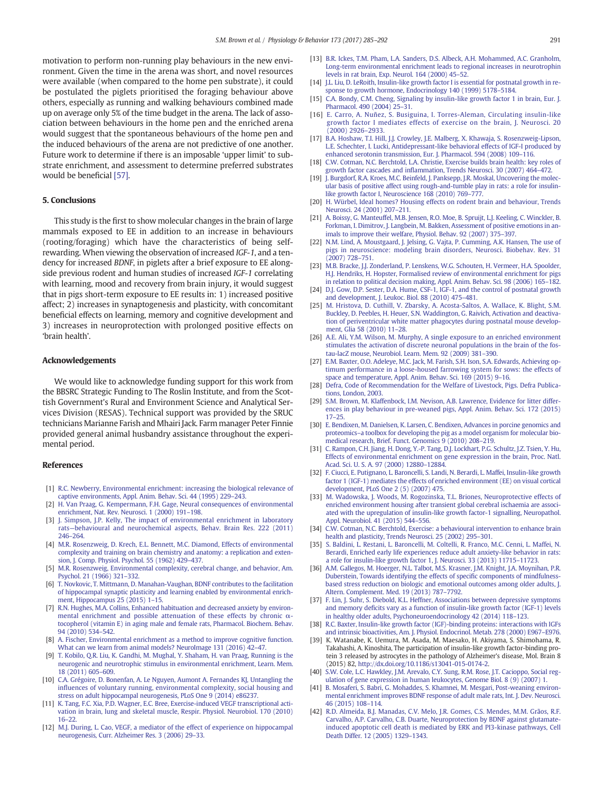<span id="page-7-0"></span>motivation to perform non-running play behaviours in the new environment. Given the time in the arena was short, and novel resources were available (when compared to the home pen substrate), it could be postulated the piglets prioritised the foraging behaviour above others, especially as running and walking behaviours combined made up on average only 5% of the time budget in the arena. The lack of association between behaviours in the home pen and the enriched arena would suggest that the spontaneous behaviours of the home pen and the induced behaviours of the arena are not predictive of one another. Future work to determine if there is an imposable 'upper limit' to substrate enrichment, and assessment to determine preferred substrates would be beneficial [\[57\]](#page-8-0).

#### 5. Conclusions

This study is the first to show molecular changes in the brain of large mammals exposed to EE in addition to an increase in behaviours (rooting/foraging) which have the characteristics of being selfrewarding. When viewing the observation of increased IGF-1, and a tendency for increased BDNF, in piglets after a brief exposure to EE alongside previous rodent and human studies of increased IGF-1 correlating with learning, mood and recovery from brain injury, it would suggest that in pigs short-term exposure to EE results in: 1) increased positive affect; 2) increases in synaptogenesis and plasticity, with concomitant beneficial effects on learning, memory and cognitive development and 3) increases in neuroprotection with prolonged positive effects on 'brain health'.

#### Acknowledgements

We would like to acknowledge funding support for this work from the BBSRC Strategic Funding to The Roslin Institute, and from the Scottish Government's Rural and Environment Science and Analytical Services Division (RESAS). Technical support was provided by the SRUC technicians Marianne Farish and Mhairi Jack. Farm manager Peter Finnie provided general animal husbandry assistance throughout the experimental period.

#### References

- [1] [R.C. Newberry, Environmental enrichment: increasing the biological relevance of](http://refhub.elsevier.com/S0031-9384(16)31162-3/rf0005) [captive environments, Appl. Anim. Behav. Sci. 44 \(1995\) 229](http://refhub.elsevier.com/S0031-9384(16)31162-3/rf0005)–243.
- [2] [H. Van Praag, G. Kempermann, F.H. Gage, Neural consequences of environmental](http://refhub.elsevier.com/S0031-9384(16)31162-3/rf0010) [enrichment, Nat. Rev. Neurosci. 1 \(2000\) 191](http://refhub.elsevier.com/S0031-9384(16)31162-3/rf0010)–198.
- [3] [J. Simpson, J.P. Kelly, The impact of environmental enrichment in laboratory](http://refhub.elsevier.com/S0031-9384(16)31162-3/rf0015) rats—[behavioural and neurochemical aspects, Behav. Brain Res. 222 \(2011\)](http://refhub.elsevier.com/S0031-9384(16)31162-3/rf0015) [246](http://refhub.elsevier.com/S0031-9384(16)31162-3/rf0015)–264.
- [4] [M.R. Rosenzweig, D. Krech, E.L. Bennett, M.C. Diamond, Effects of environmental](http://refhub.elsevier.com/S0031-9384(16)31162-3/rf0020) [complexity and training on brain chemistry and anatomy: a replication and exten](http://refhub.elsevier.com/S0031-9384(16)31162-3/rf0020)[sion, J. Comp. Physiol. Psychol. 55 \(1962\) 429](http://refhub.elsevier.com/S0031-9384(16)31162-3/rf0020)–437.
- [5] [M.R. Rosenzweig, Environmental complexity, cerebral change, and behavior, Am.](http://refhub.elsevier.com/S0031-9384(16)31162-3/rf0025) [Psychol. 21 \(1966\) 321](http://refhub.elsevier.com/S0031-9384(16)31162-3/rf0025)–332.
- [6] [T. Novkovic, T. Mittmann, D. Manahan-Vaughan, BDNF contributes to the facilitation](http://refhub.elsevier.com/S0031-9384(16)31162-3/rf0030) [of hippocampal synaptic plasticity and learning enabled by environmental enrich](http://refhub.elsevier.com/S0031-9384(16)31162-3/rf0030)[ment, Hippocampus 25 \(2015\) 1](http://refhub.elsevier.com/S0031-9384(16)31162-3/rf0030)-15.
- [7] [R.N. Hughes, M.A. Collins, Enhanced habituation and decreased anxiety by environ](http://refhub.elsevier.com/S0031-9384(16)31162-3/rf0035)[mental enrichment and possible attenuation of these effects by chronic](http://refhub.elsevier.com/S0031-9384(16)31162-3/rf0035) α[tocopherol \(vitamin E\) in aging male and female rats, Pharmacol. Biochem. Behav.](http://refhub.elsevier.com/S0031-9384(16)31162-3/rf0035) [94 \(2010\) 534](http://refhub.elsevier.com/S0031-9384(16)31162-3/rf0035)–542.
- [8] [A. Fischer, Environmental enrichment as a method to improve cognitive function.](http://refhub.elsevier.com/S0031-9384(16)31162-3/rf0040) [What can we learn from animal models? NeuroImage 131 \(2016\) 42](http://refhub.elsevier.com/S0031-9384(16)31162-3/rf0040)–47.
- [T. Kobilo, Q.R. Liu, K. Gandhi, M. Mughal, Y. Shaham, H. van Praag, Running is the](http://refhub.elsevier.com/S0031-9384(16)31162-3/rf0045) [neurogenic and neurotrophic stimulus in environmental enrichment, Learn. Mem.](http://refhub.elsevier.com/S0031-9384(16)31162-3/rf0045) [18 \(2011\) 605](http://refhub.elsevier.com/S0031-9384(16)31162-3/rf0045)–609.
- [10] [C.A. Grégoire, D. Bonenfan, A. Le Nguyen, Aumont A. Fernandes KJ, Untangling the](http://refhub.elsevier.com/S0031-9384(16)31162-3/rf0050) infl[uences of voluntary running, environmental complexity, social housing and](http://refhub.elsevier.com/S0031-9384(16)31162-3/rf0050) [stress on adult hippocampal neurogenesis, PLoS One 9 \(2014\) e86237](http://refhub.elsevier.com/S0031-9384(16)31162-3/rf0050).
- [11] [K. Tang, F.C. Xia, P.D. Wagner, E.C. Bree, Exercise-induced VEGF transcriptional acti](http://refhub.elsevier.com/S0031-9384(16)31162-3/rf0055)[vation in brain, lung and skeletal muscle, Respir. Physiol. Neurobiol. 170 \(2010\)](http://refhub.elsevier.com/S0031-9384(16)31162-3/rf0055) 16–[22.](http://refhub.elsevier.com/S0031-9384(16)31162-3/rf0055)
- [12] [M.J. During, L. Cao, VEGF, a mediator of the effect of experience on hippocampal](http://refhub.elsevier.com/S0031-9384(16)31162-3/rf0060) [neurogenesis, Curr. Alzheimer Res. 3 \(2006\) 29](http://refhub.elsevier.com/S0031-9384(16)31162-3/rf0060)–33.
- [13] [B.R. Ickes, T.M. Pham, L.A. Sanders, D.S. Albeck, A.H. Mohammed, A.C. Granholm,](http://refhub.elsevier.com/S0031-9384(16)31162-3/rf0065) [Long-term environmental enrichment leads to regional increases in neurotrophin](http://refhub.elsevier.com/S0031-9384(16)31162-3/rf0065) [levels in rat brain, Exp. Neurol. 164 \(2000\) 45](http://refhub.elsevier.com/S0031-9384(16)31162-3/rf0065)–52.
- [14] [J.L. Liu, D. LeRoith, Insulin-like growth factor I is essential for postnatal growth in re](http://refhub.elsevier.com/S0031-9384(16)31162-3/rf0070)[sponse to growth hormone, Endocrinology 140 \(1999\) 5178](http://refhub.elsevier.com/S0031-9384(16)31162-3/rf0070)–5184.
- [15] [C.A. Bondy, C.M. Cheng, Signaling by insulin-like growth factor 1 in brain, Eur. J.](http://refhub.elsevier.com/S0031-9384(16)31162-3/rf0075) [Pharmacol. 490 \(2004\) 25](http://refhub.elsevier.com/S0031-9384(16)31162-3/rf0075)–31.
- [16] [E. Carro, A. Nuñez, S. Busiguina, I. Torres-Aleman, Circulating insulin-like](http://refhub.elsevier.com/S0031-9384(16)31162-3/rf0080) [growth factor I mediates effects of exercise on the brain, J. Neurosci. 20](http://refhub.elsevier.com/S0031-9384(16)31162-3/rf0080) [\(2000\) 2926](http://refhub.elsevier.com/S0031-9384(16)31162-3/rf0080)–2933.
- [17] [B.A. Hoshaw, T.I. Hill, J.J. Crowley, J.E. Malberg, X. Khawaja, S. Rosenzweig-Lipson,](http://refhub.elsevier.com/S0031-9384(16)31162-3/rf0085) [L.E. Schechter, I. Lucki, Antidepressant-like behavioral effects of IGF-I produced by](http://refhub.elsevier.com/S0031-9384(16)31162-3/rf0085) [enhanced serotonin transmission, Eur. J. Pharmacol. 594 \(2008\) 109](http://refhub.elsevier.com/S0031-9384(16)31162-3/rf0085)–116.
- [18] [C.W. Cotman, N.C. Berchtold, L.A. Christie, Exercise builds brain health: key roles of](http://refhub.elsevier.com/S0031-9384(16)31162-3/rf0090) growth factor cascades and infl[ammation, Trends Neurosci. 30 \(2007\) 464](http://refhub.elsevier.com/S0031-9384(16)31162-3/rf0090)–472.
- [19] [J. Burgdorf, R.A. Kroes, M.C. Beinfeld, J. Panksepp, J.R. Moskal, Uncovering the molec](http://refhub.elsevier.com/S0031-9384(16)31162-3/rf0095)[ular basis of positive affect using rough-and-tumble play in rats: a role for insulin-](http://refhub.elsevier.com/S0031-9384(16)31162-3/rf0095)[like growth factor I, Neuroscience 168 \(2010\) 769](http://refhub.elsevier.com/S0031-9384(16)31162-3/rf0095)–777.
- [20] [H. Würbel, Ideal homes? Housing effects on rodent brain and behaviour, Trends](http://refhub.elsevier.com/S0031-9384(16)31162-3/rf0100) [Neurosci. 24 \(2001\) 207](http://refhub.elsevier.com/S0031-9384(16)31162-3/rf0100)–211.
- [21] [A. Boissy, G. Manteuffel, M.B. Jensen, R.O. Moe, B. Spruijt, L.J. Keeling, C. Winckler, B.](http://refhub.elsevier.com/S0031-9384(16)31162-3/rf0105) [Forkman, I. Dimitrov, J. Langbein, M. Bakken, Assessment of positive emotions in an](http://refhub.elsevier.com/S0031-9384(16)31162-3/rf0105)[imals to improve their welfare, Physiol. Behav. 92 \(2007\) 375](http://refhub.elsevier.com/S0031-9384(16)31162-3/rf0105)–397.
- [22] [N.M. Lind, A. Moustgaard, J. Jelsing, G. Vajta, P. Cumming, A.K. Hansen, The use of](http://refhub.elsevier.com/S0031-9384(16)31162-3/rf0110) [pigs in neuroscience: modeling brain disorders, Neurosci. Biobehav. Rev. 31](http://refhub.elsevier.com/S0031-9384(16)31162-3/rf0110) [\(2007\) 728](http://refhub.elsevier.com/S0031-9384(16)31162-3/rf0110)–751.
- [23] [M.B. Bracke, J.J. Zonderland, P. Lenskens, W.G. Schouten, H. Vermeer, H.A. Spoolder,](http://refhub.elsevier.com/S0031-9384(16)31162-3/rf0115) [H.J. Hendriks, H. Hopster, Formalised review of environmental enrichment for pigs](http://refhub.elsevier.com/S0031-9384(16)31162-3/rf0115) [in relation to political decision making, Appl. Anim. Behav. Sci. 98 \(2006\) 165](http://refhub.elsevier.com/S0031-9384(16)31162-3/rf0115)–182.
- [24] [D.J. Gow, D.P. Sester, D.A. Hume, CSF-1, IGF-1, and the control of postnatal growth](http://refhub.elsevier.com/S0031-9384(16)31162-3/rf0120) [and development, J. Leukoc. Biol. 88 \(2010\) 475](http://refhub.elsevier.com/S0031-9384(16)31162-3/rf0120)–481.
- [25] [M. Hristova, D. Cuthill, V. Zbarsky, A. Acosta-Saltos, A. Wallace, K. Blight, S.M.](http://refhub.elsevier.com/S0031-9384(16)31162-3/rf0125) [Buckley, D. Peebles, H. Heuer, S.N. Waddington, G. Raivich, Activation and deactiva](http://refhub.elsevier.com/S0031-9384(16)31162-3/rf0125)[tion of periventricular white matter phagocytes during postnatal mouse develop](http://refhub.elsevier.com/S0031-9384(16)31162-3/rf0125)[ment, Glia 58 \(2010\) 11](http://refhub.elsevier.com/S0031-9384(16)31162-3/rf0125)–28.
- [26] [A.E. Ali, Y.M. Wilson, M. Murphy, A single exposure to an enriched environment](http://refhub.elsevier.com/S0031-9384(16)31162-3/rf0130) [stimulates the activation of discrete neuronal populations in the brain of the fos](http://refhub.elsevier.com/S0031-9384(16)31162-3/rf0130)[tau-lacZ mouse, Neurobiol. Learn. Mem. 92 \(2009\) 381](http://refhub.elsevier.com/S0031-9384(16)31162-3/rf0130)–390.
- [27] [E.M. Baxter, O.O. Adeleye, M.C. Jack, M. Farish, S.H. Ison, S.A. Edwards, Achieving op](http://refhub.elsevier.com/S0031-9384(16)31162-3/rf0135)[timum performance in a loose-housed farrowing system for sows: the effects of](http://refhub.elsevier.com/S0031-9384(16)31162-3/rf0135) [space and temperature, Appl. Anim. Behav. Sci. 169 \(2015\) 9](http://refhub.elsevier.com/S0031-9384(16)31162-3/rf0135)–16.
- [28] [Defra, Code of Recommendation for the Welfare of Livestock, Pigs. Defra Publica](http://refhub.elsevier.com/S0031-9384(16)31162-3/rf0140)[tions, London, 2003](http://refhub.elsevier.com/S0031-9384(16)31162-3/rf0140).
- [29] [S.M. Brown, M. Klaffenbock, I.M. Nevison, A.B. Lawrence, Evidence for litter differ](http://refhub.elsevier.com/S0031-9384(16)31162-3/rf0145)[ences in play behaviour in pre-weaned pigs, Appl. Anim. Behav. Sci. 172 \(2015\)](http://refhub.elsevier.com/S0031-9384(16)31162-3/rf0145) 17–[25.](http://refhub.elsevier.com/S0031-9384(16)31162-3/rf0145)
- [30] [E. Bendixen, M. Danielsen, K. Larsen, C. Bendixen, Advances in porcine genomics and](http://refhub.elsevier.com/S0031-9384(16)31162-3/rf0150) proteomics–[a toolbox for developing the pig as a model organism for molecular bio](http://refhub.elsevier.com/S0031-9384(16)31162-3/rf0150)[medical research, Brief. Funct. Genomics 9 \(2010\) 208](http://refhub.elsevier.com/S0031-9384(16)31162-3/rf0150)–219.
- [31] [C. Rampon, C.H. Jiang, H. Dong, Y.-P. Tang, D.J. Lockhart, P.G. Schultz, J.Z. Tsien, Y. Hu,](http://refhub.elsevier.com/S0031-9384(16)31162-3/rf0155) [Effects of environmental enrichment on gene expression in the brain, Proc. Natl.](http://refhub.elsevier.com/S0031-9384(16)31162-3/rf0155) [Acad. Sci. U. S. A. 97 \(2000\) 12880](http://refhub.elsevier.com/S0031-9384(16)31162-3/rf0155)–12884.
- [32] [F. Ciucci, E. Putignano, L. Baroncelli, S. Landi, N. Berardi, L. Maffei, Insulin-like growth](http://refhub.elsevier.com/S0031-9384(16)31162-3/rf0160) [factor 1 \(IGF-1\) mediates the effects of enriched environment \(EE\) on visual cortical](http://refhub.elsevier.com/S0031-9384(16)31162-3/rf0160) [development, PLoS One 2 \(5\) \(2007\) 475.](http://refhub.elsevier.com/S0031-9384(16)31162-3/rf0160)
- [33] [M. Wadowska, J. Woods, M. Rogozinska, T.L. Briones, Neuroprotective effects of](http://refhub.elsevier.com/S0031-9384(16)31162-3/rf0165) [enriched environment housing after transient global cerebral ischaemia are associ](http://refhub.elsevier.com/S0031-9384(16)31162-3/rf0165)[ated with the upregulation of insulin-like growth factor-1 signalling, Neuropathol.](http://refhub.elsevier.com/S0031-9384(16)31162-3/rf0165) [Appl. Neurobiol. 41 \(2015\) 544](http://refhub.elsevier.com/S0031-9384(16)31162-3/rf0165)–556.
- [34] [C.W. Cotman, N.C. Berchtold, Exercise: a behavioural intervention to enhance brain](http://refhub.elsevier.com/S0031-9384(16)31162-3/rf0170) [health and plasticity, Trends Neurosci. 25 \(2002\) 295](http://refhub.elsevier.com/S0031-9384(16)31162-3/rf0170)–301.
- [35] [S. Baldini, L. Restani, L. Baroncelli, M. Coltelli, R. Franco, M.C. Cenni, L. Maffei, N.](http://refhub.elsevier.com/S0031-9384(16)31162-3/rf0175) [Berardi, Enriched early life experiences reduce adult anxiety-like behavior in rats:](http://refhub.elsevier.com/S0031-9384(16)31162-3/rf0175) [a role for insulin-like growth factor 1, J. Neurosci. 33 \(2013\) 11715](http://refhub.elsevier.com/S0031-9384(16)31162-3/rf0175)–11723.
- [36] [A.M. Gallegos, M. Hoerger, N.L. Talbot, M.S. Krasner, J.M. Knight, J.A. Moynihan, P.R.](http://refhub.elsevier.com/S0031-9384(16)31162-3/rf0180) [Duberstein, Towards identifying the effects of speci](http://refhub.elsevier.com/S0031-9384(16)31162-3/rf0180)fic components of mindfulness[based stress reduction on biologic and emotional outcomes among older adults, J.](http://refhub.elsevier.com/S0031-9384(16)31162-3/rf0180) [Altern. Complement. Med. 19 \(2013\) 787](http://refhub.elsevier.com/S0031-9384(16)31162-3/rf0180)–7792.
- [37] [F. Lin, J. Suhr, S. Diebold, K.L. Heffner, Associations between depressive symptoms](http://refhub.elsevier.com/S0031-9384(16)31162-3/rf0185) and memory defi[cits vary as a function of insulin-like growth factor \(IGF-1\) levels](http://refhub.elsevier.com/S0031-9384(16)31162-3/rf0185) [in healthy older adults, Psychoneuroendocrinology 42 \(2014\) 118](http://refhub.elsevier.com/S0031-9384(16)31162-3/rf0185)–123.
- [38] [R.C. Baxter, Insulin-like growth factor \(IGF\)-binding proteins: interactions with IGFs](http://refhub.elsevier.com/S0031-9384(16)31162-3/rf0190) [and intrinsic bioactivities, Am. J. Physiol. Endocrinol. Metab. 278 \(2000\) E967](http://refhub.elsevier.com/S0031-9384(16)31162-3/rf0190)–E976.
- [39] K. Watanabe, K. Uemura, M. Asada, M. Maesako, H. Akiyama, S. Shimohama, R. Takahashi, A. Kinoshita, The participation of insulin-like growth factor-binding protein 3 released by astrocytes in the pathology of Alzheimer's disease, Mol. Brain 8 (2015) 82, http://dx.doi.org[/10.1186/s13041-015-0174-2.](http://dx.doi.org/10.1186/s13041-015-0174-2)
- [40] [S.W. Cole, L.C. Hawkley, J.M. Arevalo, C.Y. Sung, R.M. Rose, J.T. Cacioppo, Social reg](http://refhub.elsevier.com/S0031-9384(16)31162-3/rf0200)[ulation of gene expression in human leukocytes, Genome Biol. 8 \(9\) \(2007\) 1.](http://refhub.elsevier.com/S0031-9384(16)31162-3/rf0200)
- [41] [B. Mosaferi, S. Babri, G. Mohaddes, S. Khamnei, M. Mesgari, Post-weaning environ](http://refhub.elsevier.com/S0031-9384(16)31162-3/rf0205)[mental enrichment improves BDNF response of adult male rats, Int. J. Dev. Neurosci.](http://refhub.elsevier.com/S0031-9384(16)31162-3/rf0205) [46 \(2015\) 108](http://refhub.elsevier.com/S0031-9384(16)31162-3/rf0205)–114.
- [42] [R.D. Almeida, B.J. Manadas, C.V. Melo, J.R. Gomes, C.S. Mendes, M.M. Grãos, R.F.](http://refhub.elsevier.com/S0031-9384(16)31162-3/rf0210) [Carvalho, A.P. Carvalho, C.B. Duarte, Neuroprotection by BDNF against glutamate](http://refhub.elsevier.com/S0031-9384(16)31162-3/rf0210)[induced apoptotic cell death is mediated by ERK and PI3-kinase pathways, Cell](http://refhub.elsevier.com/S0031-9384(16)31162-3/rf0210) [Death Differ. 12 \(2005\) 1329](http://refhub.elsevier.com/S0031-9384(16)31162-3/rf0210)–1343.